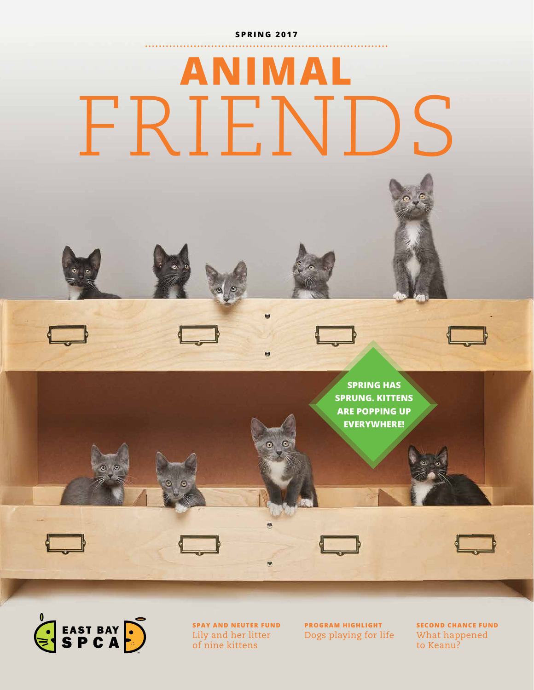#### **S P R I N G 2 0 1 7**

# **ANIMAL** FRIENDS





**SPAY AND NEUTER FUND** Lily and her litter of nine kittens

**PROGRAM HIGHLIGHT** Dogs playing for life **SECOND CHANCE FUND** What happened to Keanu?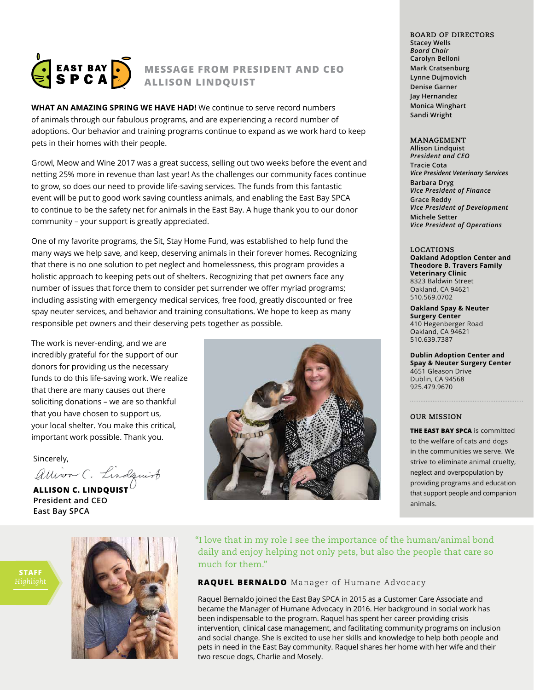

### **MESSAGE FROM PRESIDENT AND CEO ALLISON LINDQUIST**

 **WHAT AN AMAZING SPRING WE HAVE HAD!** We continue to serve record numbers of animals through our fabulous programs, and are experiencing a record number of adoptions. Our behavior and training programs continue to expand as we work hard to keep pets in their homes with their people.

Growl, Meow and Wine 2017 was a great success, selling out two weeks before the event and netting 25% more in revenue than last year! As the challenges our community faces continue to grow, so does our need to provide life-saving services. The funds from this fantastic event will be put to good work saving countless animals, and enabling the East Bay SPCA to continue to be the safety net for animals in the East Bay. A huge thank you to our donor community – your support is greatly appreciated.

One of my favorite programs, the Sit, Stay Home Fund, was established to help fund the many ways we help save, and keep, deserving animals in their forever homes. Recognizing that there is no one solution to pet neglect and homelessness, this program provides a holistic approach to keeping pets out of shelters. Recognizing that pet owners face any number of issues that force them to consider pet surrender we offer myriad programs; including assisting with emergency medical services, free food, greatly discounted or free spay neuter services, and behavior and training consultations. We hope to keep as many responsible pet owners and their deserving pets together as possible.

The work is never-ending, and we are incredibly grateful for the support of our donors for providing us the necessary funds to do this life-saving work. We realize that there are many causes out there soliciting donations – we are so thankful that you have chosen to support us, your local shelter. You make this critical, important work possible. Thank you.

Sincerely,

allison C. Lindquist

**ALLISON C. LINDQUIST President and CEO East Bay SPCA**



**BOARD OF DIRECTORS Stacey Wells**  *Board Chair* **Carolyn Belloni Mark Cratsenburg Lynne Dujmovich Denise Garner Jay Hernandez Monica Winghart Sandi Wright** 

#### **MANAGEMENT**

**Allison Lindquist** *President and CEO* **Tracie Cota** *Vice President Veterinary Services* **Barbara Dryg** *Vice President of Finance* **Grace Reddy** *Vice President of Development*  **Michele Setter** *Vice President of Operations*

**LOCATIONS Oakland Adoption Center and Theodore B. Travers Family Veterinary Clinic**  8323 Baldwin Street Oakland, CA 94621 510.569.0702

**Oakland Spay & Neuter Surgery Center** 410 Hegenberger Road Oakland, CA 94621 510.639.7387

**Dublin Adoption Center and Spay & Neuter Surgery Center** 4651 Gleason Drive Dublin, CA 94568 925.479.9670

#### **OUR MISSION**

**THE EAST BAY SPCA** is committed to the welfare of cats and dogs in the communities we serve. We strive to eliminate animal cruelty, neglect and overpopulation by providing programs and education that support people and companion animals.

"I love that in my role I see the importance of the human/animal bond daily and enjoy helping not only pets, but also the people that care so much for them."

### **RAQUEL BERNALDO** Manager of Humane Advocacy

Raquel Bernaldo joined the East Bay SPCA in 2015 as a Customer Care Associate and became the Manager of Humane Advocacy in 2016. Her background in social work has been indispensable to the program. Raquel has spent her career providing crisis intervention, clinical case management, and facilitating community programs on inclusion and social change. She is excited to use her skills and knowledge to help both people and pets in need in the East Bay community. Raquel shares her home with her wife and their two rescue dogs, Charlie and Mosely.

**STAFF**

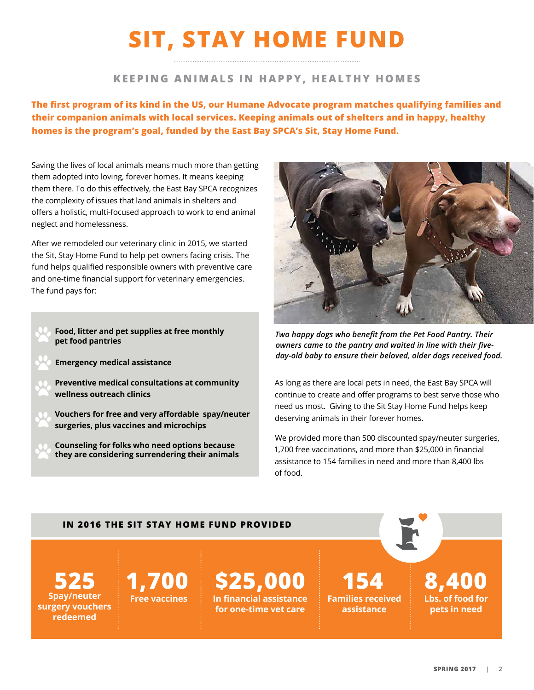# **SIT, STAY HOME FUND**

### **KEEPING ANIMALS IN HAPPY, HEALTHY HOMES**

**The first program of its kind in the US, our Humane Advocate program matches qualifying families and their companion animals with local services. Keeping animals out of shelters and in happy, healthy homes is the program's goal, funded by the East Bay SPCA's Sit, Stay Home Fund.**

Saving the lives of local animals means much more than getting them adopted into loving, forever homes. It means keeping them there. To do this effectively, the East Bay SPCA recognizes the complexity of issues that land animals in shelters and offers a holistic, multi-focused approach to work to end animal neglect and homelessness.

After we remodeled our veterinary clinic in 2015, we started the Sit, Stay Home Fund to help pet owners facing crisis. The fund helps qualified responsible owners with preventive care and one-time financial support for veterinary emergencies. The fund pays for:

- **Food, litter and pet supplies at free monthly pet food pantries**
- **Emergency medical assistance**
- **Preventive medical consultations at community wellness outreach clinics**
- **Vouchers for free and very affordable spay/neuter surgeries, plus vaccines and microchips**
	- **Counseling for folks who need options because they are considering surrendering their animals**



*Two happy dogs who benefit from the Pet Food Pantry. Their owners came to the pantry and waited in line with their fiveday-old baby to ensure their beloved, older dogs received food.* 

As long as there are local pets in need, the East Bay SPCA will continue to create and offer programs to best serve those who need us most. Giving to the Sit Stay Home Fund helps keep deserving animals in their forever homes.

We provided more than 500 discounted spay/neuter surgeries, 1,700 free vaccinations, and more than \$25,000 in financial assistance to 154 families in need and more than 8,400 lbs of food.

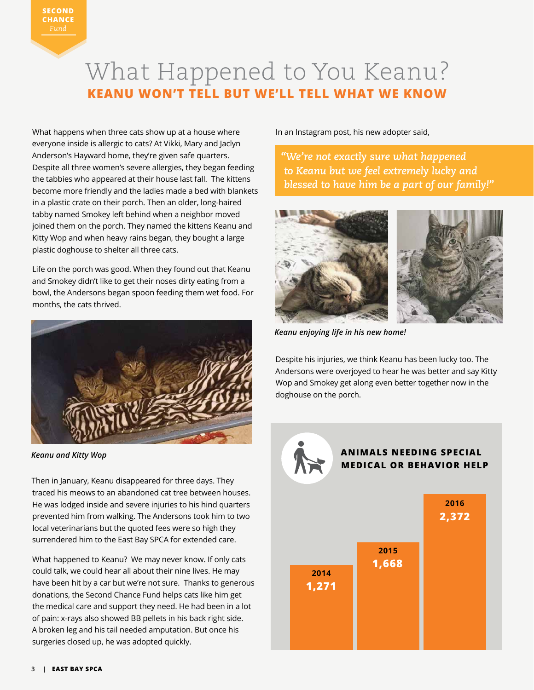### What Happened to You Keanu? **KEANU WON'T TELL BUT WE'LL TELL WHAT WE KNOW**

What happens when three cats show up at a house where everyone inside is allergic to cats? At Vikki, Mary and Jaclyn Anderson's Hayward home, they're given safe quarters. Despite all three women's severe allergies, they began feeding the tabbies who appeared at their house last fall. The kittens become more friendly and the ladies made a bed with blankets in a plastic crate on their porch. Then an older, long-haired tabby named Smokey left behind when a neighbor moved joined them on the porch. They named the kittens Keanu and Kitty Wop and when heavy rains began, they bought a large plastic doghouse to shelter all three cats.

Life on the porch was good. When they found out that Keanu and Smokey didn't like to get their noses dirty eating from a bowl, the Andersons began spoon feeding them wet food. For months, the cats thrived.



*Keanu and Kitty Wop*

Then in January, Keanu disappeared for three days. They traced his meows to an abandoned cat tree between houses. He was lodged inside and severe injuries to his hind quarters prevented him from walking. The Andersons took him to two local veterinarians but the quoted fees were so high they surrendered him to the East Bay SPCA for extended care.

What happened to Keanu? We may never know. If only cats could talk, we could hear all about their nine lives. He may have been hit by a car but we're not sure. Thanks to generous donations, the Second Chance Fund helps cats like him get the medical care and support they need. He had been in a lot of pain: x-rays also showed BB pellets in his back right side. A broken leg and his tail needed amputation. But once his surgeries closed up, he was adopted quickly.

In an Instagram post, his new adopter said,

*"We're not exactly sure what happened to Keanu but we feel extremely lucky and blessed to have him be a part of our family!"*



*Keanu enjoying life in his new home!*

Despite his injuries, we think Keanu has been lucky too. The Andersons were overjoyed to hear he was better and say Kitty Wop and Smokey get along even better together now in the doghouse on the porch.

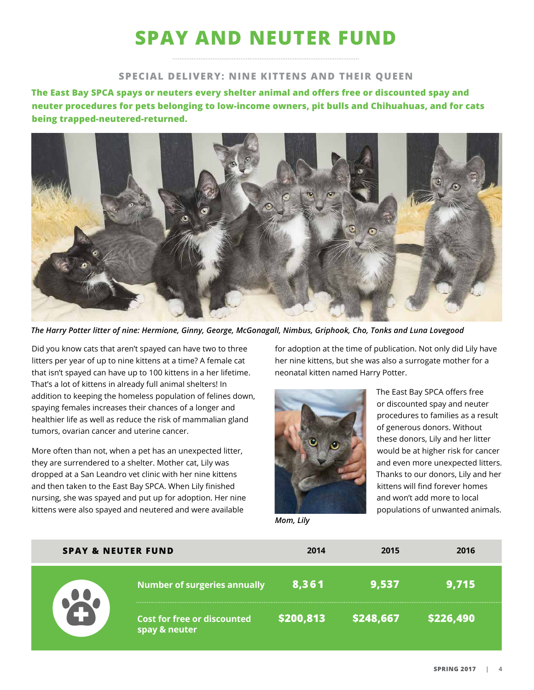# **SPAY AND NEUTER FUND**

### **SPECIAL DELIVERY: NINE KITTENS AND THEIR QUEEN**

**The East Bay SPCA spays or neuters every shelter animal and offers free or discounted spay and neuter procedures for pets belonging to low-income owners, pit bulls and Chihuahuas, and for cats being trapped-neutered-returned.** 



*The Harry Potter litter of nine: Hermione, Ginny, George, McGonagall, Nimbus, Griphook, Cho, Tonks and Luna Lovegood*

Did you know cats that aren't spayed can have two to three litters per year of up to nine kittens at a time? A female cat that isn't spayed can have up to 100 kittens in a her lifetime. That's a lot of kittens in already full animal shelters! In addition to keeping the homeless population of felines down, spaying females increases their chances of a longer and healthier life as well as reduce the risk of mammalian gland tumors, ovarian cancer and uterine cancer.

More often than not, when a pet has an unexpected litter, they are surrendered to a shelter. Mother cat, Lily was dropped at a San Leandro vet clinic with her nine kittens and then taken to the East Bay SPCA. When Lily finished nursing, she was spayed and put up for adoption. Her nine kittens were also spayed and neutered and were available

for adoption at the time of publication. Not only did Lily have her nine kittens, but she was also a surrogate mother for a neonatal kitten named Harry Potter.



The East Bay SPCA offers free or discounted spay and neuter procedures to families as a result of generous donors. Without these donors, Lily and her litter would be at higher risk for cancer and even more unexpected litters. Thanks to our donors, Lily and her kittens will find forever homes and won't add more to local populations of unwanted animals.

*Mom, Lily*

| <b>SPAY &amp; NEUTER FUND</b> |                                                     | 2014      | 2015      | 2016      |
|-------------------------------|-----------------------------------------------------|-----------|-----------|-----------|
|                               | <b>Number of surgeries annually</b>                 | 8,361     | 9,537     | 9,715     |
|                               | <b>Cost for free or discounted</b><br>spay & neuter | \$200,813 | \$248,667 | \$226,490 |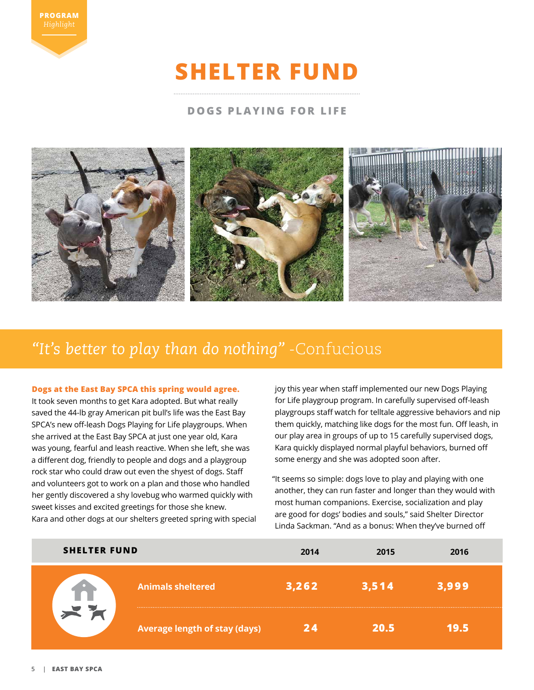

# **SHELTER FUND**

### **DOGS PLAYING FOR LIFE**



### *"It's better to play than do nothing"* -Confucious

#### **Dogs at the East Bay SPCA this spring would agree.**

It took seven months to get Kara adopted. But what really saved the 44-lb gray American pit bull's life was the East Bay SPCA's new off-leash Dogs Playing for Life playgroups. When she arrived at the East Bay SPCA at just one year old, Kara was young, fearful and leash reactive. When she left, she was a different dog, friendly to people and dogs and a playgroup rock star who could draw out even the shyest of dogs. Staff and volunteers got to work on a plan and those who handled her gently discovered a shy lovebug who warmed quickly with sweet kisses and excited greetings for those she knew. Kara and other dogs at our shelters greeted spring with special joy this year when staff implemented our new Dogs Playing for Life playgroup program. In carefully supervised off-leash playgroups staff watch for telltale aggressive behaviors and nip them quickly, matching like dogs for the most fun. Off leash, in our play area in groups of up to 15 carefully supervised dogs, Kara quickly displayed normal playful behaviors, burned off some energy and she was adopted soon after.

"It seems so simple: dogs love to play and playing with one another, they can run faster and longer than they would with most human companions. Exercise, socialization and play are good for dogs' bodies and souls," said Shelter Director Linda Sackman. "And as a bonus: When they've burned off

| <b>SHELTER FUND</b> |                                      | 2014  | 2015  | 2016  |
|---------------------|--------------------------------------|-------|-------|-------|
|                     | <b>Animals sheltered</b>             | 3,262 | 3,514 | 3,999 |
|                     | <b>Average length of stay (days)</b> | 7 A   | 20.5  | 19.5  |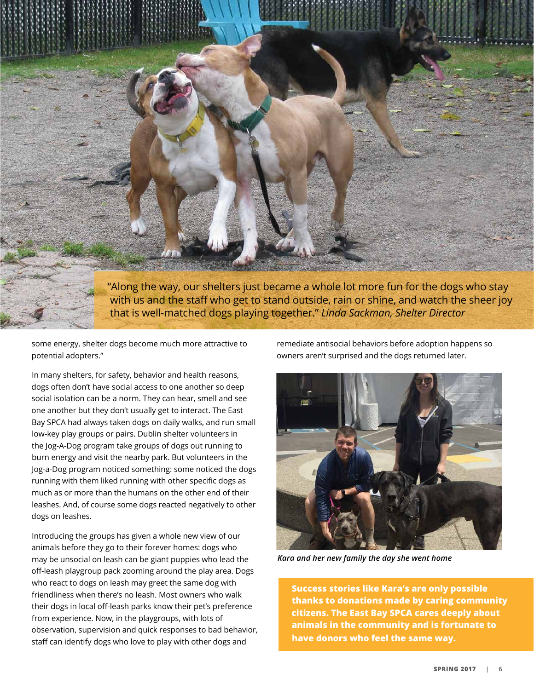

"Along the way, our shelters just became a whole lot more fun for the dogs who stay with us and the staff who get to stand outside, rain or shine, and watch the sheer joy that is well-matched dogs playing together." *Linda Sackman, Shelter Director*

some energy, shelter dogs become much more attractive to potential adopters."

In many shelters, for safety, behavior and health reasons, dogs often don't have social access to one another so deep social isolation can be a norm. They can hear, smell and see one another but they don't usually get to interact. The East Bay SPCA had always taken dogs on daily walks, and run small low-key play groups or pairs. Dublin shelter volunteers in the Jog-A-Dog program take groups of dogs out running to burn energy and visit the nearby park. But volunteers in the Jog-a-Dog program noticed something: some noticed the dogs running with them liked running with other specific dogs as much as or more than the humans on the other end of their leashes. And, of course some dogs reacted negatively to other dogs on leashes.

Introducing the groups has given a whole new view of our animals before they go to their forever homes: dogs who may be unsocial on leash can be giant puppies who lead the off-leash playgroup pack zooming around the play area. Dogs who react to dogs on leash may greet the same dog with friendliness when there's no leash. Most owners who walk their dogs in local off-leash parks know their pet's preference from experience. Now, in the playgroups, with lots of observation, supervision and quick responses to bad behavior, staff can identify dogs who love to play with other dogs and

remediate antisocial behaviors before adoption happens so owners aren't surprised and the dogs returned later.



*Kara and her new family the day she went home*

**Success stories like Kara's are only possible thanks to donations made by caring community citizens. The East Bay SPCA cares deeply about animals in the community and is fortunate to have donors who feel the same way.**